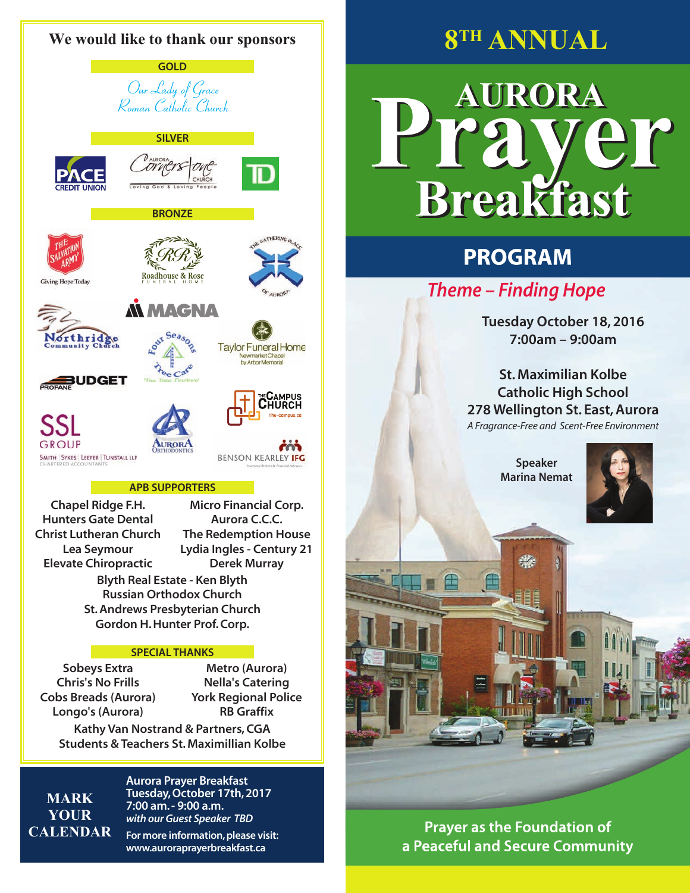

**Sobeys Extra Chris's No Frills Cobs Breads (Aurora) Longo's (Aurora)**

**Metro (Aurora) Nella's Catering York Regional Police RB Graffix**

**Kathy Van Nostrand & Partners, CGA Students & Teachers St. Maximillian Kolbe**

**Mark Your Calendar** **Aurora Prayer Breakfast Tuesday, October 17th, 2017 7:00 am. - 9:00 a.m. with our Guest Speaker TBD**

**For more information, please visit: www.auroraprayerbreakfast.ca**

**8TH ANNUAL**

## **AURORA**  $\theta$ **Breakfast**

## **PROGRAM**

**Theme – Finding Hope**

**Tuesday October 18, 2016 7:00am – 9:00am**

**St. Maximilian Kolbe Catholic High School 278 Wellington St. East, Aurora** A Fragrance-Free and Scent-Free Environment

> **Speaker Marina Nemat**



**Prayer as the Foundation of** a Peaceful and Secure Community